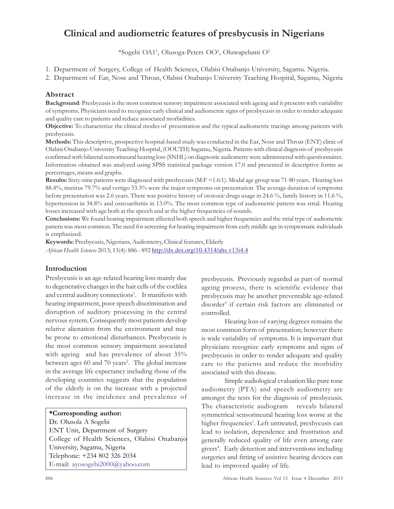# Clinical and audiometric features of presbycusis in Nigerians

\*Sogebi OA1<sup>1</sup> , Olusoga-Peters OO<sup>2</sup> , Oluwapelumi O<sup>2</sup>

1. Department of Surgery, College of Health Sciences, Olabisi Onabanjo University, Sagamu. Nigeria.

2. Department of Ear, Nose and Throat, Olabisi Onabanjo University Teaching Hospital, Sagamu, Nigeria

# Abstract

Background: Presbycusis is the most common sensory impairment associated with ageing and it presents with variability of symptoms. Physicians need to recognize early clinical and audiometric signs of presbycusis in order to render adequate and quality care to patients and reduce associated morbidities.

Objective: To characterize the clinical modes of presentation and the typical audiometric tracings among patients with presbycusis.

Methods: This descriptive, prospective hospital-based study was conducted in the Ear, Nose and Throat (ENT) clinic of Olabisi Onabanjo University Teaching Hospital, (OOUTH) Sagamu, Nigeria. Patients with clinical diagnosis of presbycusis confirmed with bilateral sensorineural hearing loss (SNHL) on diagnostic audiometry were administered with questionnaires. Information obtained was analyzed using SPSS statistical package version 17.0 and presented in descriptive forms as percentages, means and graphs.

Results: Sixty-nine patients were diagnosed with presbycusis (M:F =1.6:1). Modal age group was 71-80 years. Hearing loss 88.4%, tinnitus 79.7% and vertigo 33.3% were the major symptoms on presentation. The average duration of symptoms before presentation was 2.6 years. There was positive history of ototoxic drugs usage in 24.6 %, family history in 11.6 %, hypertension in 34.8% and osteoarthritis in 13.0%. The most common type of audiometric pattern was strial. Hearing losses increased with age both at the speech and at the higher frequencies of sounds.

Conclusions: We found hearing impairment affected both speech and higher frequencies and the strial type of audiometric pattern was most common. The need for screening for hearing impairment from early middle age in symptomatic individuals is emphasized.

Keywords: Presbycusis, Nigerians, Audiometry, Clinical features, Elderly

African Health Sciences 2013; 13(4): 886 - 892 http://dx.doi.org/10.4314/ahs.v13i4.4

# Introduction

Presbycusis is an age-related hearing loss mainly due to degenerative changes in the hair cells of the cochlea and central auditory connections<sup>1</sup>. It manifests with hearing impairment, poor speech discrimination and disruption of auditory processing in the central nervous system. Consequently most patients develop relative alienation from the environment and may be prone to emotional disturbances. Presbycusis is the most common sensory impairment associated with ageing and has prevalence of about 35% between ages 60 and 70 years<sup>2</sup>. The global increase in the average life expectancy including those of the developing countries suggests that the population of the elderly is on the increase with a projected increase in the incidence and prevalence of

#### \*Corresponding author:

Dr. Olusola A Sogebi ENT Unit, Department of Surgery College of Health Sciences, Olabisi Onabanjo University, Sagamu, Nigeria Telephone: +234 802 326 2034 E-mail: ayosogebi2000@yahoo.com

presbycusis. Previously regarded as part of normal ageing process, there is scientific evidence that presbycusis may be another preventable age-related disorder<sup>3</sup> if certain risk factors are eliminated or controlled.

Hearing loss of varying degrees remains the most common form of presentation; however there is wide variability of symptoms. It is important that physicians recognize early symptoms and signs of presbycusis in order to render adequate and quality care to the patients and reduce the morbidity associated with this disease.

Simple audiological evaluation like pure tone audiometry (PTA) and speech audiometry are amongst the tests for the diagnosis of presbycusis. The characteristic audiogram reveals bilateral symmetrical sensorineural hearing loss worse at the higher frequencies<sup>1</sup>. Left untreated, presbycusis can lead to isolation, dependence and frustration and generally reduced quality of life even among care givers 4 . Early detection and interventions including surgeries and fitting of assistive hearing devices can lead to improved quality of life.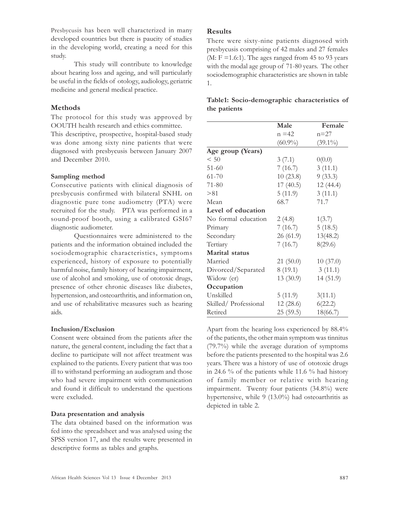Presbycusis has been well characterized in many developed countries but there is paucity of studies in the developing world, creating a need for this study.

This study will contribute to knowledge about hearing loss and ageing, and will particularly be useful in the fields of otology, audiology, geriatric medicine and general medical practice.

## Methods

The protocol for this study was approved by OOUTH health research and ethics committee.

This descriptive, prospective, hospital-based study was done among sixty nine patients that were diagnosed with presbycusis between January 2007 and December 2010.

#### Sampling method

Consecutive patients with clinical diagnosis of presbycusis confirmed with bilateral SNHL on diagnostic pure tone audiometry (PTA) were recruited for the study. PTA was performed in a sound-proof booth, using a calibrated GSI67 diagnostic audiometer.

Questionnaires were administered to the patients and the information obtained included the sociodemographic characteristics, symptoms experienced, history of exposure to potentially harmful noise, family history of hearing impairment, use of alcohol and smoking, use of ototoxic drugs, presence of other chronic diseases like diabetes, hypertension, and osteoarthritis, and information on, and use of rehabilitative measures such as hearing aids.

#### Inclusion/Exclusion

Consent were obtained from the patients after the nature, the general content, including the fact that a decline to participate will not affect treatment was explained to the patients. Every patient that was too ill to withstand performing an audiogram and those who had severe impairment with communication and found it difficult to understand the questions were excluded.

#### Data presentation and analysis

The data obtained based on the information was fed into the spreadsheet and was analysed using the SPSS version 17, and the results were presented in descriptive forms as tables and graphs.

#### Results

There were sixty-nine patients diagnosed with presbycusis comprising of 42 males and 27 females (M:  $F = 1.6:1$ ). The ages ranged from 45 to 93 years with the modal age group of 71-80 years. The other sociodemographic characteristics are shown in table 1.

|              | Table1: Socio-demographic characteristics of |  |
|--------------|----------------------------------------------|--|
| the patients |                                              |  |

|                      | Male       | Female     |
|----------------------|------------|------------|
|                      | $n = 42$   | $n=27$     |
|                      | $(60.9\%)$ | $(39.1\%)$ |
| Age group (Years)    |            |            |
| < 50                 | 3(7.1)     | 0(0.0)     |
| $51 - 60$            | 7(16.7)    | 3(11.1)    |
| $61 - 70$            | 10(23.8)   | 9(33.3)    |
| 71-80                | 17(40.5)   | 12 (44.4)  |
| > 81                 | 5(11.9)    | 3(11.1)    |
| Mean                 | 68.7       | 71.7       |
| Level of education   |            |            |
| No formal education  | 2(4.8)     | 1(3.7)     |
| Primary              | 7(16.7)    | 5(18.5)    |
| Secondary            | 26(61.9)   | 13(48.2)   |
| Tertiary             | 7(16.7)    | 8(29.6)    |
| Marital status       |            |            |
| Married              | 21(50.0)   | 10(37.0)   |
| Divorced/Separated   | 8(19.1)    | 3(11.1)    |
| Widow (er)           | 13 (30.9)  | 14 (51.9)  |
| Occupation           |            |            |
| Unskilled            | 5(11.9)    | 3(11.1)    |
| Skilled/Professional | 12(28.6)   | 6(22.2)    |
| Retired              | 25(59.5)   | 18(66.7)   |

Apart from the hearing loss experienced by 88.4% of the patients, the other main symptom was tinnitus (79.7%) while the average duration of symptoms before the patients presented to the hospital was 2.6 years. There was a history of use of ototoxic drugs in 24.6 % of the patients while 11.6 % had history of family member or relative with hearing impairment. Twenty four patients (34.8%) were hypertensive, while 9 (13.0%) had osteoarthritis as depicted in table 2.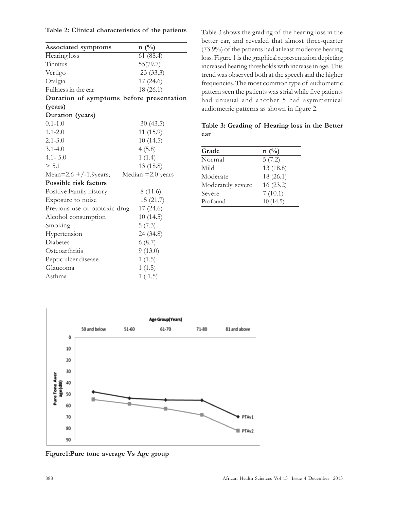|  |  | Table 2: Clinical characteristics of the patients |  |  |  |
|--|--|---------------------------------------------------|--|--|--|
|--|--|---------------------------------------------------|--|--|--|

| <b>Associated symptoms</b>               | $n(^{0}/_{0})$      |
|------------------------------------------|---------------------|
| Hearing loss                             | 61(88.4)            |
| Tinnitus                                 | 55(79.7)            |
| Vertigo                                  | 23(33.3)            |
| Otalgia                                  | 17(24.6)            |
| Fullness in the ear                      | 18(26.1)            |
| Duration of symptoms before presentation |                     |
| (years)                                  |                     |
| Duration (years)                         |                     |
| $0.1 - 1.0$                              | 30(43.5)            |
| $1.1 - 2.0$                              | 11(15.9)            |
| $2.1 - 3.0$                              | 10(14.5)            |
| $3.1 - 4.0$                              | 4(5.8)              |
| $4.1 - 5.0$                              | 1(1.4)              |
| > 5.1                                    | 13 (18.8)           |
| Mean=2.6 +/-1.9 years;                   | Median $=2.0$ years |
| Possible risk factors                    |                     |
| Positive Family history                  | 8(11.6)             |
| Exposure to noise                        | 15(21.7)            |
| Previous use of ototoxic drug            | 17 (24.6)           |
| Alcohol consumption                      | 10(14.5)            |
| Smoking                                  | 5(7.3)              |
| Hypertension                             | 24 (34.8)           |
| Diabetes                                 | 6(8.7)              |
| Osteoarthritis                           | 9(13.0)             |
| Peptic ulcer disease                     | 1(1.5)              |
| Glaucoma                                 | 1(1.5)              |
| Asthma                                   | 1(1.5)              |

Table 3 shows the grading of the hearing loss in the better ear, and revealed that almost three-quarter (73.9%) of the patients had at least moderate hearing loss. Figure 1 is the graphical representation depicting increased hearing thresholds with increase in age. This trend was observed both at the speech and the higher frequencies. The most common type of audiometric pattern seen the patients was strial while five patients had unusual and another 5 had asymmetrical audiometric patterns as shown in figure 2.

Table 3: Grading of Hearing loss in the Better ear

| Grade             | $n(^{0}/_{0})$ |
|-------------------|----------------|
| Normal            | 5(7.2)         |
| Mild              | 13 (18.8)      |
| Moderate          | 18(26.1)       |
| Moderately severe | 16(23.2)       |
| Severe            | 7(10.1)        |
| Profound          | 10(14.5)       |
|                   |                |



Figure1:Pure tone average Vs Age group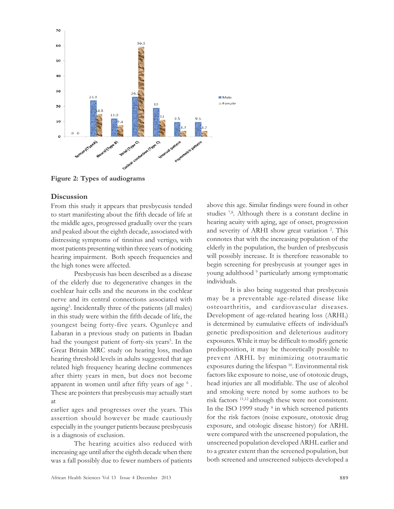

Figure 2: Types of audiograms

#### **Discussion**

From this study it appears that presbycusis tended to start manifesting about the fifth decade of life at the middle ages, progressed gradually over the years and peaked about the eighth decade, associated with distressing symptoms of tinnitus and vertigo, with most patients presenting within three years of noticing hearing impairment. Both speech frequencies and the high tones were affected.

Presbycusis has been described as a disease of the elderly due to degenerative changes in the cochlear hair cells and the neurons in the cochlear nerve and its central connections associated with ageing<sup>5</sup>. Incidentally three of the patients (all males) in this study were within the fifth decade of life, the youngest being forty-five years. Ogunleye and Labaran in a previous study on patients in Ibadan had the youngest patient of forty-six years<sup>5</sup>. In the Great Britain MRC study on hearing loss, median hearing threshold levels in adults suggested that age related high frequency hearing decline commences after thirty years in men, but does not become apparent in women until after fifty years of age  $^6$  . These are pointers that presbycusis may actually start at

earlier ages and progresses over the years. This assertion should however be made cautiously especially in the younger patients because presbycusis is a diagnosis of exclusion.

The hearing acuities also reduced with increasing age until after the eighth decade when there was a fall possibly due to fewer numbers of patients above this age. Similar findings were found in other studies 7,8. Although there is a constant decline in hearing acuity with aging, age of onset, progression and severity of ARHI show great variation<sup>2</sup>. This connotes that with the increasing population of the elderly in the population, the burden of presbycusis will possibly increase. It is therefore reasonable to begin screening for presbycusis at younger ages in young adulthood <sup>9</sup> particularly among symptomatic individuals.

It is also being suggested that presbycusis may be a preventable age-related disease like osteoarthritis, and cardiovascular diseases. Development of age-related hearing loss (ARHL) is determined by cumulative effects of individual's genetic predisposition and deleterious auditory exposures. While it may be difficult to modify genetic predisposition, it may be theoretically possible to prevent ARHL by minimizing ototraumatic exposures during the lifespan <sup>10</sup>. Environmental risk factors like exposure to noise, use of ototoxic drugs, head injuries are all modifiable. The use of alcohol and smoking were noted by some authors to be risk factors 11,12 although these were not consistent. In the ISO 1999 study <sup>8</sup> in which screened patients for the risk factors (noise exposure, ototoxic drug exposure, and otologic disease history) for ARHL were compared with the unscreened population, the unscreened population developed ARHL earlier and to a greater extent than the screened population, but both screened and unscreened subjects developed a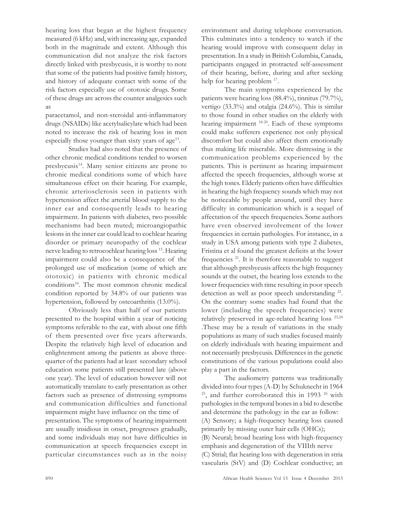hearing loss that began at the highest frequency measured (6 kHz) and, with increasing age, expanded both in the magnitude and extent. Although this communication did not analyze the risk factors directly linked with presbycusis, it is worthy to note that some of the patients had positive family history, and history of adequate contact with some of the risk factors especially use of ototoxic drugs. Some of these drugs are across the counter analgesics such as

paracetamol, and non-steroidal anti-inflammatory drugs (NSAIDs) like acetylsalicylate which had been noted to increase the risk of hearing loss in men especially those younger than sixty years of age<sup>13</sup>.

Studies had also noted that the presence of other chronic medical conditions tended to worsen presbycusis<sup>14</sup>. Many senior citizens are prone to chronic medical conditions some of which have simultaneous effect on their hearing. For example, chronic arteriosclerosis seen in patients with hypertension affect the arterial blood supply to the inner ear and consequently leads to hearing impairment. In patients with diabetes, two possible mechanisms had been muted; microangiopathic lesions in the inner ear could lead to cochlear hearing disorder or primary neuropathy of the cochlear nerve leading to retrocochlear hearing loss <sup>15</sup> . Hearing impairment could also be a consequence of the prolonged use of medication (some of which are ototoxic) in patients with chronic medical conditions<sup>16</sup>. The most common chronic medical condition reported by 34.8% of our patients was hypertension, followed by osteoarthritis (13.0%).

Obviously less than half of our patients presented to the hospital within a year of noticing symptoms referable to the ear, with about one fifth of them presented over five years afterwards. Despite the relatively high level of education and enlightenment among the patients as above threequarter of the patients had at least secondary school education some patients still presented late (above one year). The level of education however will not automatically translate to early presentation as other factors such as presence of distressing symptoms and communication difficulties and functional impairment might have influence on the time of presentation. The symptoms of hearing impairment are usually insidious in onset, progresses gradually, and some individuals may not have difficulties in communication at speech frequencies except in particular circumstances such as in the noisy

environment and during telephone conversation. This culminates into a tendency to watch if the hearing would improve with consequent delay in presentation. In a study in British Columbia, Canada, participants engaged in protracted self-assessment of their hearing, before, during and after seeking help for hearing problem 17.

The main symptoms experienced by the patients were hearing loss (88.4%), tinnitus (79.7%), vertigo (33.3%) and otalgia (24.6%). This is similar to those found in other studies on the elderly with hearing impairment <sup>18-20</sup>. Each of these symptoms could make sufferers experience not only physical discomfort but could also affect them emotionally thus making life miserable. More distressing is the communication problems experienced by the patients. This is pertinent as hearing impairment affected the speech frequencies, although worse at the high tones. Elderly patients often have difficulties in hearing the high frequency sounds which may not be noticeable by people around, until they have difficulty in communication which is a sequel of affectation of the speech frequencies. Some authors have even observed involvement of the lower frequencies in certain pathologies. For instance, in a study in USA among patients with type 2 diabetes, Fristina et al found the greatest deficits at the lower frequencies<sup>21</sup>. It is therefore reasonable to suggest that although presbycusis affects the high frequency sounds at the outset, the hearing loss extends to the lower frequencies with time resulting in poor speech detection as well as poor speech understanding <sup>22</sup>. On the contrary some studies had found that the lower (including the speech frequencies) were relatively preserved in age-related hearing loss 23,24 .These may be a result of variations in the study populations as many of such studies focused mainly on elderly individuals with hearing impairment and not necessarily presbycusis. Differences in the genetic constitutions of the various populations could also play a part in the factors.

The audiometry patterns was traditionally divided into four types (A-D) by Schuknecht in 1964  $25$ , and further corroborated this in 1993  $26$  with pathologies in the temporal bones in a bid to describe and determine the pathology in the ear as follow: (A) Sensory; a high-frequency hearing loss caused primarily by missing outer hair cells (OHCs); (B) Neural; broad hearing loss with high-frequency emphasis and degeneration of the VIIIth nerve (C) Strial; flat hearing loss with degeneration in stria vascularis (StV) and (D) Cochlear conductive; an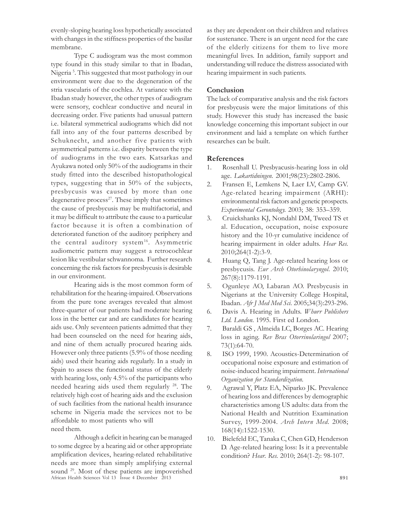evenly-sloping hearing loss hypothetically associated with changes in the stiffness properties of the basilar membrane.

Type C audiogram was the most common type found in this study similar to that in Ibadan, Nigeria <sup>5</sup> . This suggested that most pathology in our environment were due to the degeneration of the stria vascularis of the cochlea. At variance with the Ibadan study however, the other types of audiogram were sensory, cochlear conductive and neural in decreasing order. Five patients had unusual pattern i.e. bilateral symmetrical audiograms which did not fall into any of the four patterns described by Schuknecht, and another five patients with asymmetrical patterns i.e. disparity between the type of audiograms in the two ears. Katsarkas and Ayukawa noted only 50% of the audiograms in their study fitted into the described histopathological types, suggesting that in 50% of the subjects, presbycusis was caused by more than one degenerative process<sup>27</sup>. These imply that sometimes the cause of presbycusis may be multifactorial, and it may be difficult to attribute the cause to a particular factor because it is often a combination of deteriorated function of the auditory periphery and the central auditory system<sup>16</sup>. Asymmetric audiometric pattern may suggest a retrocochlear lesion like vestibular schwannoma. Further research concerning the risk factors for presbycusis is desirable in our environment.

Hearing aids is the most common form of rehabilitation for the hearing-impaired. Observations from the pure tone averages revealed that almost three-quarter of our patients had moderate hearing loss in the better ear and are candidates for hearing aids use. Only seventeen patients admitted that they had been counseled on the need for hearing aids, and nine of them actually procured hearing aids. However only three patients (5.9% of those needing aids) used their hearing aids regularly. In a study in Spain to assess the functional status of the elderly with hearing loss, only 4.5% of the participants who needed hearing aids used them regularly <sup>28</sup>. The relatively high cost of hearing aids and the exclusion of such facilities from the national health insurance scheme in Nigeria made the services not to be affordable to most patients who will need them.

African Health Sciences Vol 13 Issue 4 December 2013 891 Although a deficit in hearing can be managed to some degree by a hearing aid or other appropriate amplification devices, hearing-related rehabilitative needs are more than simply amplifying external sound <sup>29</sup>. Most of these patients are impoverished

as they are dependent on their children and relatives for sustenance. There is an urgent need for the care of the elderly citizens for them to live more meaningful lives. In addition, family support and understanding will reduce the distress associated with hearing impairment in such patients.

## **Conclusion**

The lack of comparative analysis and the risk factors for presbycusis were the major limitations of this study. However this study has increased the basic knowledge concerning this important subject in our environment and laid a template on which further researches can be built.

#### References

- 1. Rosenhall U. Presbyacusis-hearing loss in old age. Lakartidningen. 2001;98(23):2802-2806.
- 2. Fransen E, Lemkens N, Laer LV, Camp GV. Age-related hearing impairment (ARHI): environmental risk factors and genetic prospects. Experimental Gerontology. 2003; 38: 353–359.
- 3. Cruickshanks KJ, Nondahl DM, Tweed TS et al. Education, occupation, noise exposure history and the 10-yr cumulative incidence of hearing impairment in older adults. Hear Res. 2010;264(1-2):3-9.
- 4. Huang Q, Tang J. Age-related hearing loss or presbycusis. Eur Arch Otorhinolaryngol. 2010; 267(8):1179-1191.
- 5. Ogunleye AO, Labaran AO. Presbycusis in Nigerians at the University College Hospital, Ibadan. Afr J Med Med Sci. 2005;34(3):293-296.
- 6. Davis A. Hearing in Adults. Whurr Publishers Ltd. London. 1995. First ed London.
- 7. Baraldi GS , Almeida LC, Borges AC. Hearing loss in aging. Rev Bras Otorrinolaringol 2007; 73(1):64-70.
- 8. ISO 1999, 1990. Acoustics-Determination of occupational noise exposure and estimation of noise-induced hearing impairment. International Organization for Standardization.
- 9. Agrawal Y, Platz EA, Niparko JK. Prevalence of hearing loss and differences by demographic characteristics among US adults: data from the National Health and Nutrition Examination Survey, 1999-2004. Arch Intern Med. 2008; 168(14):1522-1530.
- 10. Bielefeld EC, Tanaka C, Chen GD, Henderson D. Age-related hearing loss: Is it a preventable condition? Hear. Res. 2010; 264(1-2): 98-107.